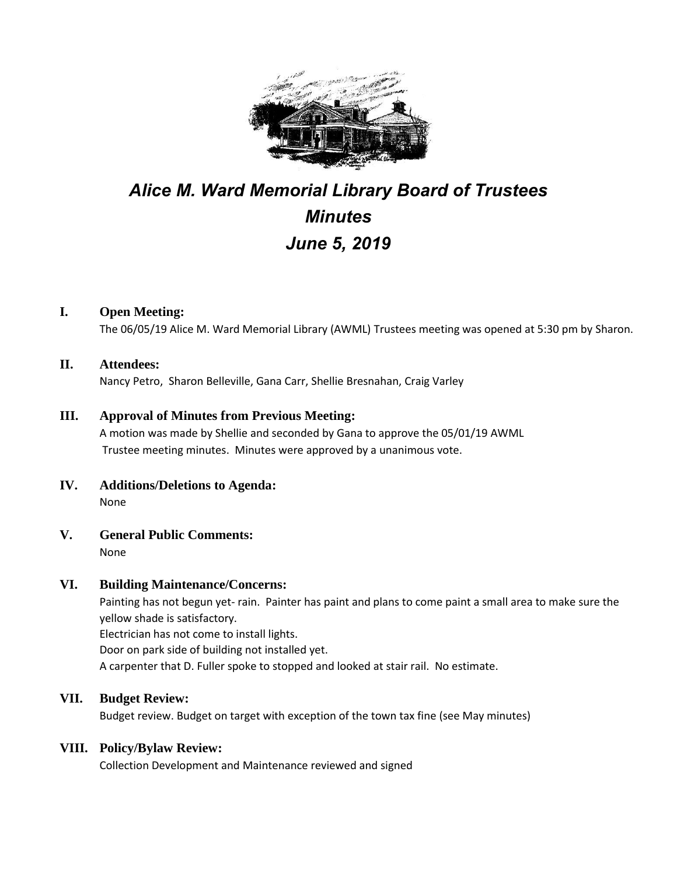

# *Alice M. Ward Memorial Library Board of Trustees Minutes June 5, 2019*

## **I. Open Meeting:**

The 06/05/19 Alice M. Ward Memorial Library (AWML) Trustees meeting was opened at 5:30 pm by Sharon.

#### **II. Attendees:**

Nancy Petro, Sharon Belleville, Gana Carr, Shellie Bresnahan, Craig Varley

## **III. Approval of Minutes from Previous Meeting:**

A motion was made by Shellie and seconded by Gana to approve the 05/01/19 AWML Trustee meeting minutes. Minutes were approved by a unanimous vote.

- **IV. Additions/Deletions to Agenda:** None
- **V. General Public Comments:**

None

## **VI. Building Maintenance/Concerns:**

Painting has not begun yet- rain. Painter has paint and plans to come paint a small area to make sure the yellow shade is satisfactory. Electrician has not come to install lights.

Door on park side of building not installed yet.

A carpenter that D. Fuller spoke to stopped and looked at stair rail. No estimate.

## **VII. Budget Review:**

Budget review. Budget on target with exception of the town tax fine (see May minutes)

## **VIII. Policy/Bylaw Review:**

Collection Development and Maintenance reviewed and signed